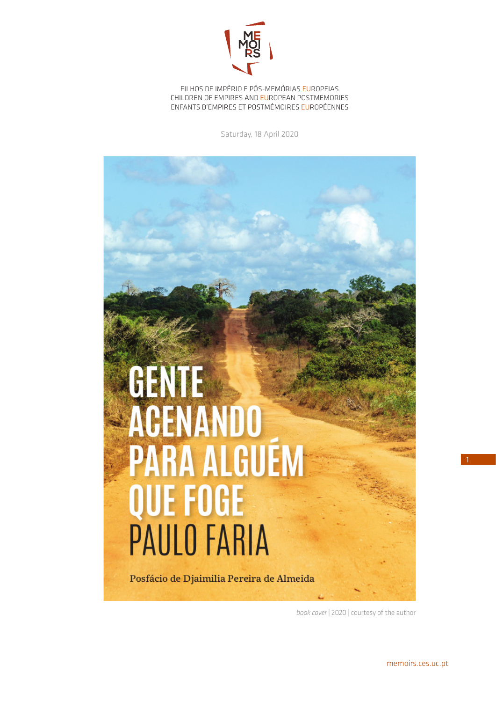

FILHOS DE IMPÉRIO E PÓS-MEMÓRIAS EUROPEIAS CHILDREN OF EMPIRES AND EUROPEAN POSTMEMORIES ENFANTS D'EMPIRES ET POSTMÉMOIRES EUROPÉENNES

Saturday, 18 April 2020



*book cover* | 2020 | courtesy of the author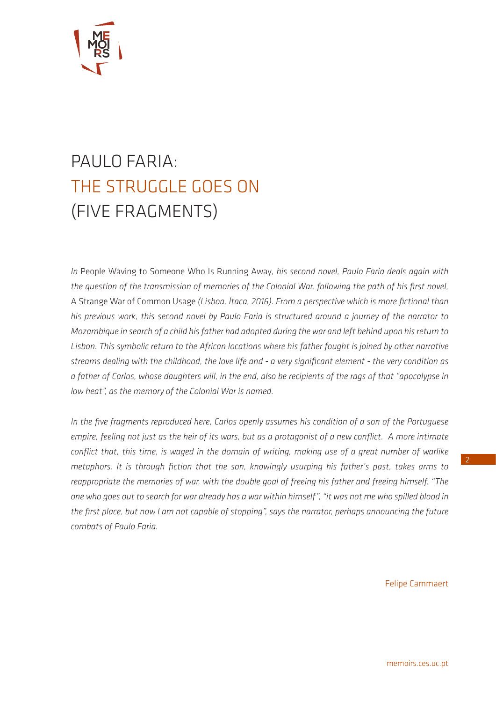

# PAULO FARIA: THE STRUGGLE GOES ON (FIVE FRAGMENTS)

*In* People Waving to Someone Who Is Running Away*, his second novel, Paulo Faria deals again with the question of the transmission of memories of the Colonial War, following the path of his first novel,*  A Strange War of Common Usage *(Lisboa, Ítaca, 2016). From a perspective which is more fictional than his previous work, this second novel by Paulo Faria is structured around a journey of the narrator to Mozambique in search of a child his father had adopted during the war and left behind upon his return to Lisbon. This symbolic return to the African locations where his father fought is joined by other narrative streams dealing with the childhood, the love life and - a very significant element - the very condition as a father of Carlos, whose daughters will, in the end, also be recipients of the rags of that "apocalypse in low heat", as the memory of the Colonial War is named.*

*In the five fragments reproduced here, Carlos openly assumes his condition of a son of the Portuguese empire, feeling not just as the heir of its wars, but as a protagonist of a new conflict. A more intimate conflict that, this time, is waged in the domain of writing, making use of a great number of warlike metaphors. It is through fiction that the son, knowingly usurping his father's past, takes arms to reappropriate the memories of war, with the double goal of freeing his father and freeing himself. "The one who goes out to search for war already has a war within himself", "it was not me who spilled blood in the first place, but now I am not capable of stopping", says the narrator, perhaps announcing the future combats of Paulo Faria.*

Felipe Cammaert

[memoirs.ces.uc.pt](http://memoirs.ces.uc.pt/index.php?id=22153&pag=22823&id_lingua=2)

2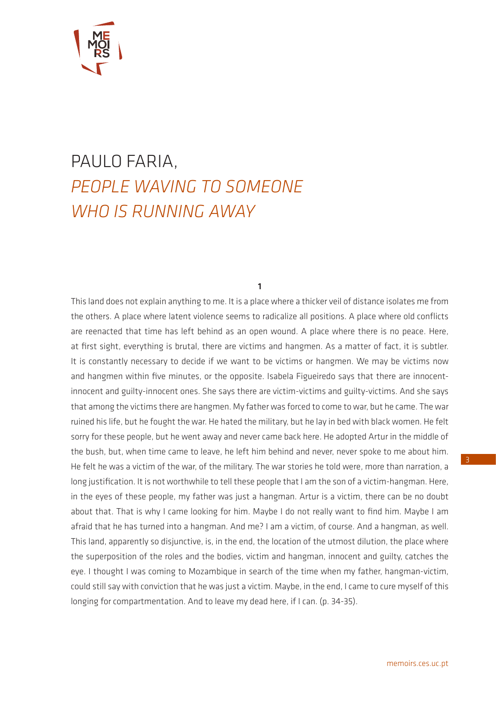

## PAULO FARIA, *PEOPLE WAVING TO SOMEONE WHO IS RUNNING AWAY*

### 1

This land does not explain anything to me. It is a place where a thicker veil of distance isolates me from the others. A place where latent violence seems to radicalize all positions. A place where old conflicts are reenacted that time has left behind as an open wound. A place where there is no peace. Here, at first sight, everything is brutal, there are victims and hangmen. As a matter of fact, it is subtler. It is constantly necessary to decide if we want to be victims or hangmen. We may be victims now and hangmen within five minutes, or the opposite. Isabela Figueiredo says that there are innocentinnocent and guilty-innocent ones. She says there are victim-victims and guilty-victims. And she says that among the victims there are hangmen. My father was forced to come to war, but he came. The war ruined his life, but he fought the war. He hated the military, but he lay in bed with black women. He felt sorry for these people, but he went away and never came back here. He adopted Artur in the middle of the bush, but, when time came to leave, he left him behind and never, never spoke to me about him. He felt he was a victim of the war, of the military. The war stories he told were, more than narration, a long justification. It is not worthwhile to tell these people that I am the son of a victim-hangman. Here, in the eyes of these people, my father was just a hangman. Artur is a victim, there can be no doubt about that. That is why I came looking for him. Maybe I do not really want to find him. Maybe I am afraid that he has turned into a hangman. And me? I am a victim, of course. And a hangman, as well. This land, apparently so disjunctive, is, in the end, the location of the utmost dilution, the place where the superposition of the roles and the bodies, victim and hangman, innocent and guilty, catches the eye. I thought I was coming to Mozambique in search of the time when my father, hangman-victim, could still say with conviction that he was just a victim. Maybe, in the end, I came to cure myself of this longing for compartmentation. And to leave my dead here, if I can. (p. 34-35).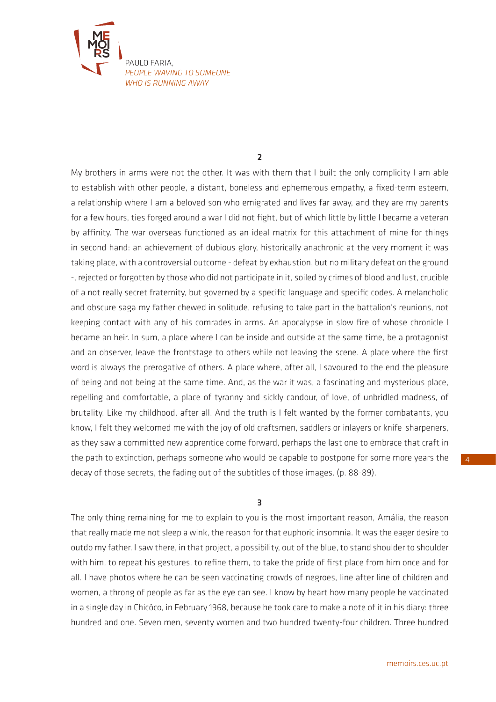

2

My brothers in arms were not the other. It was with them that I built the only complicity I am able to establish with other people, a distant, boneless and ephemerous empathy, a fixed-term esteem, a relationship where I am a beloved son who emigrated and lives far away, and they are my parents for a few hours, ties forged around a war I did not fight, but of which little by little I became a veteran by affinity. The war overseas functioned as an ideal matrix for this attachment of mine for things in second hand: an achievement of dubious glory, historically anachronic at the very moment it was taking place, with a controversial outcome - defeat by exhaustion, but no military defeat on the ground -, rejected or forgotten by those who did not participate in it, soiled by crimes of blood and lust, crucible of a not really secret fraternity, but governed by a specific language and specific codes. A melancholic and obscure saga my father chewed in solitude, refusing to take part in the battalion's reunions, not keeping contact with any of his comrades in arms. An apocalypse in slow fire of whose chronicle I became an heir. In sum, a place where I can be inside and outside at the same time, be a protagonist and an observer, leave the frontstage to others while not leaving the scene. A place where the first word is always the prerogative of others. A place where, after all, I savoured to the end the pleasure of being and not being at the same time. And, as the war it was, a fascinating and mysterious place, repelling and comfortable, a place of tyranny and sickly candour, of love, of unbridled madness, of brutality. Like my childhood, after all. And the truth is I felt wanted by the former combatants, you know, I felt they welcomed me with the joy of old craftsmen, saddlers or inlayers or knife-sharpeners, as they saw a committed new apprentice come forward, perhaps the last one to embrace that craft in the path to extinction, perhaps someone who would be capable to postpone for some more years the decay of those secrets, the fading out of the subtitles of those images. (p. 88-89).

## 3

The only thing remaining for me to explain to you is the most important reason, Amália, the reason that really made me not sleep a wink, the reason for that euphoric insomnia. It was the eager desire to outdo my father. I saw there, in that project, a possibility, out of the blue, to stand shoulder to shoulder with him, to repeat his gestures, to refine them, to take the pride of first place from him once and for all. I have photos where he can be seen vaccinating crowds of negroes, line after line of children and women, a throng of people as far as the eye can see. I know by heart how many people he vaccinated in a single day in Chicôco, in February 1968, because he took care to make a note of it in his diary: three hundred and one. Seven men, seventy women and two hundred twenty-four children. Three hundred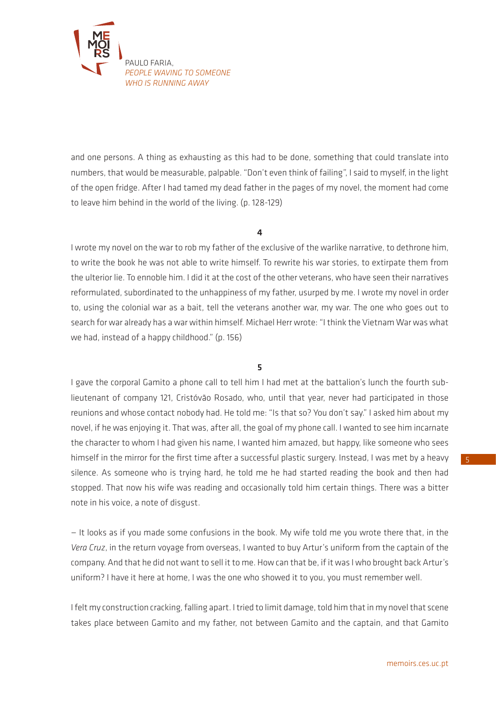

and one persons. A thing as exhausting as this had to be done, something that could translate into numbers, that would be measurable, palpable. "Don't even think of failing", I said to myself, in the light of the open fridge. After I had tamed my dead father in the pages of my novel, the moment had come to leave him behind in the world of the living. (p. 128-129)

### 4

I wrote my novel on the war to rob my father of the exclusive of the warlike narrative, to dethrone him, to write the book he was not able to write himself. To rewrite his war stories, to extirpate them from the ulterior lie. To ennoble him. I did it at the cost of the other veterans, who have seen their narratives reformulated, subordinated to the unhappiness of my father, usurped by me. I wrote my novel in order to, using the colonial war as a bait, tell the veterans another war, my war. The one who goes out to search for war already has a war within himself. Michael Herr wrote: "I think the Vietnam War was what we had, instead of a happy childhood." (p. 156)

## 5

I gave the corporal Gamito a phone call to tell him I had met at the battalion's lunch the fourth sublieutenant of company 121, Cristóvão Rosado, who, until that year, never had participated in those reunions and whose contact nobody had. He told me: "Is that so? You don't say." I asked him about my novel, if he was enjoying it. That was, after all, the goal of my phone call. I wanted to see him incarnate the character to whom I had given his name, I wanted him amazed, but happy, like someone who sees himself in the mirror for the first time after a successful plastic surgery. Instead, I was met by a heavy silence. As someone who is trying hard, he told me he had started reading the book and then had stopped. That now his wife was reading and occasionally told him certain things. There was a bitter note in his voice, a note of disgust.

— It looks as if you made some confusions in the book. My wife told me you wrote there that, in the *Vera Cruz*, in the return voyage from overseas, I wanted to buy Artur's uniform from the captain of the company. And that he did not want to sell it to me. How can that be, if it was I who brought back Artur's uniform? I have it here at home, I was the one who showed it to you, you must remember well.

I felt my construction cracking, falling apart. I tried to limit damage, told him that in my novel that scene takes place between Gamito and my father, not between Gamito and the captain, and that Gamito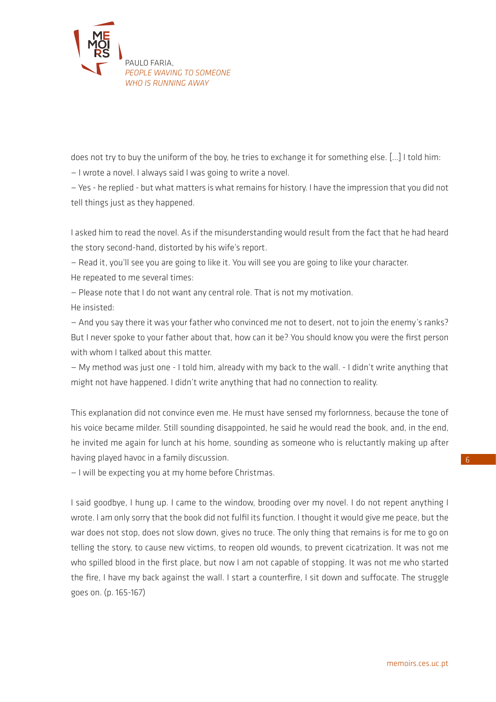

does not try to buy the uniform of the boy, he tries to exchange it for something else. […] I told him:

— I wrote a novel. I always said I was going to write a novel.

— Yes - he replied - but what matters is what remains for history. I have the impression that you did not tell things just as they happened.

I asked him to read the novel. As if the misunderstanding would result from the fact that he had heard the story second-hand, distorted by his wife's report.

— Read it, you'll see you are going to like it. You will see you are going to like your character.

He repeated to me several times:

— Please note that I do not want any central role. That is not my motivation.

He insisted:

— And you say there it was your father who convinced me not to desert, not to join the enemy's ranks? But I never spoke to your father about that, how can it be? You should know you were the first person with whom I talked about this matter.

— My method was just one - I told him, already with my back to the wall. - I didn't write anything that might not have happened. I didn't write anything that had no connection to reality.

This explanation did not convince even me. He must have sensed my forlornness, because the tone of his voice became milder. Still sounding disappointed, he said he would read the book, and, in the end, he invited me again for lunch at his home, sounding as someone who is reluctantly making up after having played havoc in a family discussion.

— I will be expecting you at my home before Christmas.

I said goodbye, I hung up. I came to the window, brooding over my novel. I do not repent anything I wrote. I am only sorry that the book did not fulfil its function. I thought it would give me peace, but the war does not stop, does not slow down, gives no truce. The only thing that remains is for me to go on telling the story, to cause new victims, to reopen old wounds, to prevent cicatrization. It was not me who spilled blood in the first place, but now I am not capable of stopping. It was not me who started the fire, I have my back against the wall. I start a counterfire, I sit down and suffocate. The struggle goes on. (p. 165-167)